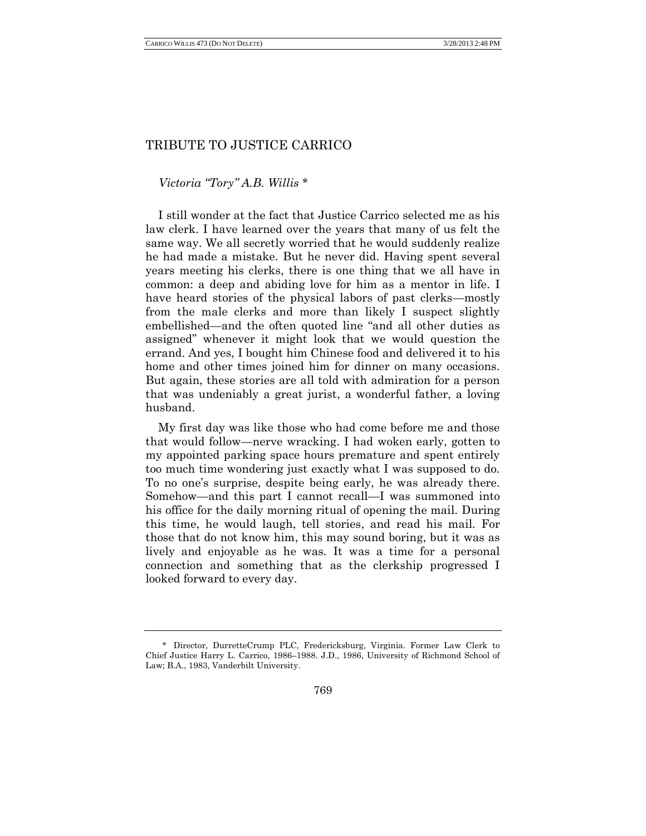## TRIBUTE TO JUSTICE CARRICO

*Victoria "Tory" A.B. Willis* \*

I still wonder at the fact that Justice Carrico selected me as his law clerk. I have learned over the years that many of us felt the same way. We all secretly worried that he would suddenly realize he had made a mistake. But he never did. Having spent several years meeting his clerks, there is one thing that we all have in common: a deep and abiding love for him as a mentor in life. I have heard stories of the physical labors of past clerks—mostly from the male clerks and more than likely I suspect slightly embellished—and the often quoted line "and all other duties as assigned" whenever it might look that we would question the errand. And yes, I bought him Chinese food and delivered it to his home and other times joined him for dinner on many occasions. But again, these stories are all told with admiration for a person that was undeniably a great jurist, a wonderful father, a loving husband.

My first day was like those who had come before me and those that would follow—nerve wracking. I had woken early, gotten to my appointed parking space hours premature and spent entirely too much time wondering just exactly what I was supposed to do. To no one's surprise, despite being early, he was already there. Somehow—and this part I cannot recall—I was summoned into his office for the daily morning ritual of opening the mail. During this time, he would laugh, tell stories, and read his mail. For those that do not know him, this may sound boring, but it was as lively and enjoyable as he was. It was a time for a personal connection and something that as the clerkship progressed I looked forward to every day.

<sup>\*</sup> Director, DurretteCrump PLC, Fredericksburg, Virginia. Former Law Clerk to Chief Justice Harry L. Carrico, 1986–1988. J.D., 1986, University of Richmond School of Law; B.A., 1983, Vanderbilt University.